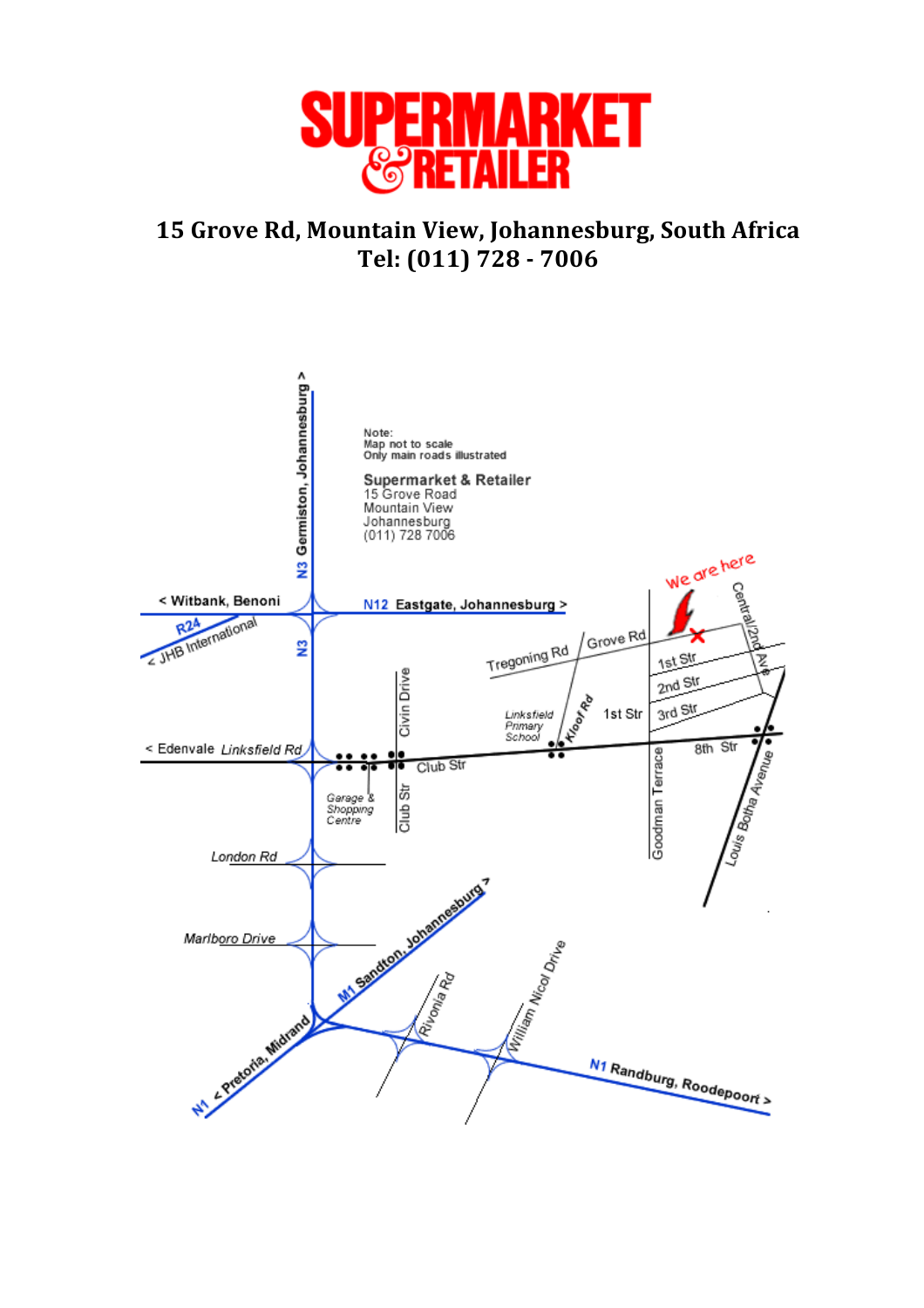

## **15 Grove Rd, Mountain View, Johannesburg, South Africa Tel: (011) 728 - 7006**